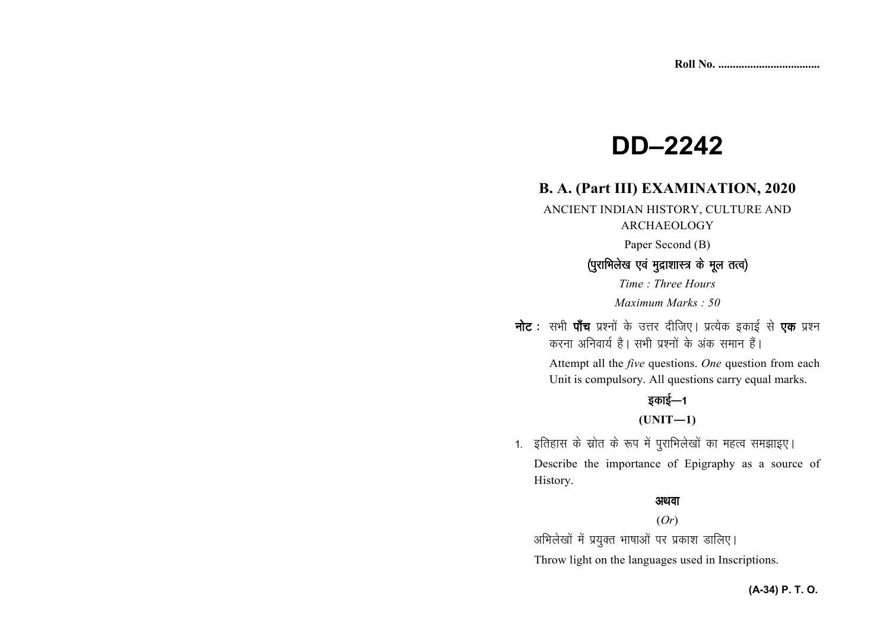# **DD–2242**

# **B. A. (Part III) EXAMINATION, 2020**

ANCIENT INDIAN HISTORY, CULTURE AND

#### ARCHAEOLOGY

Paper Second (B)

#### *¼iqjkfHkys[k ,oa eqnzk'kkL= ds ewy rRo½ ¼iqjkfHkys[k ds ewy*

*Time : Three Hours Maximum Marks : 50*

**नोट** : सभी **पाँच** प्रश्नों के उत्तर दीजिए। प्रत्येक इकाई से **एक** प्रश्न *djuk vfuok;Z gSA lHkh iz'uksa d¢ vad leku gSaA* 

> Attempt all the *five* questions. *One* question from each Unit is compulsory. All questions carry equal marks.

## *bdkbZ*&*<sup>1</sup>*

**(UNIT—1)** 

1. इतिहास के स्रोत के रूप में पुराभिलेखों का महत्व समझाइए। Describe the importance of Epigraphy as a source ofHistory.

#### *vFkok*

#### (*Or*)

*vfHkys[kksa esa iz;qDr Hkk"kkvksa ij izdk'k Mkfy,A* 

Throw light on the languages used in Inscriptions.

#### **(A-34) P. T. O.**